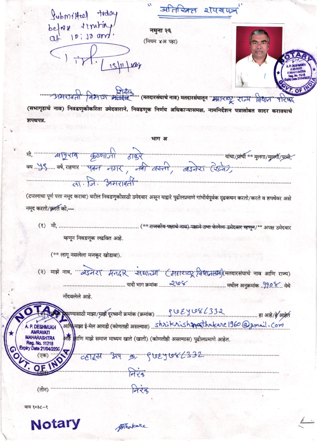अतिरिक्त शपयपत्र

Submilted tiday belove truting!  $<$ lity

नमुना २६ (नियम ४अ पहा)

13/11/201



प्रदिष्ठ (मतदारसंघाचे नाव) मतदारसंघातून "महाराष्ट्र" राज्य विधान परिषद (सभागृहाचे नाव) निवडणुकीकरिता उमेदवाराने, निवडणूक निर्णय अधिकाऱ्यासमक्ष, नामनिर्देशन पत्रासोबत सादर करावयाचे शपथपत्र.

भाग अ ता जि. अमरावती

(टपालाचा पूर्ण पत्ता नमूद करावा) वरील निवडणुकोसाठी उमेदवार असून याद्वारे पुढीलप्रमाणे गांभीर्यपूर्वक दृढकथन करतो/करते व शपथेवर असे नमूद करतो/क़रते की,—

म्हणून निवडणूक लढवित आहे.

(\*\* लागू नसलेला मजकूर खोडावा).

(२) माझे नाव, "अंडमेरा मेतदार सद्या या सिंहाराष्ट्र विधानसभा)(मतदारसंघाचे नाव आणि राज्य) नोंदवलेले आहे.

अहि <mark>क्</mark>षाणि माझे समाज माध्यम खाते (खाती) (कोणतीही असल्यास) पुढीलप्रमाणे आहेत.  $774$  $223$  $($ तीन)

वाय १०३८-१



Whakare